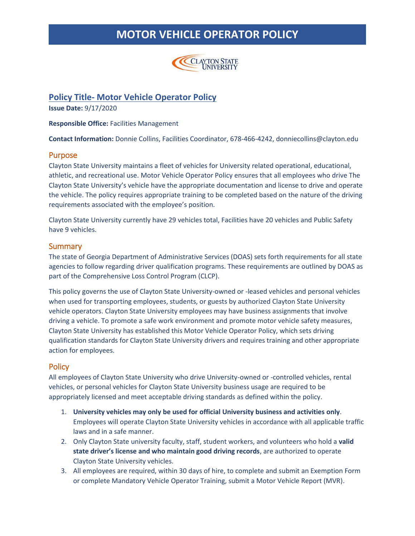

### **Policy Title- Motor Vehicle Operator Policy**

**Issue Date:** 9/17/2020

**Responsible Office:** Facilities Management

**Contact Information:** Donnie Collins, Facilities Coordinator, 678-466-4242, donniecollins@clayton.edu

#### Purpose

Clayton State University maintains a fleet of vehicles for University related operational, educational, athletic, and recreational use. Motor Vehicle Operator Policy ensures that all employees who drive The Clayton State University's vehicle have the appropriate documentation and license to drive and operate the vehicle. The policy requires appropriate training to be completed based on the nature of the driving requirements associated with the employee's position.

Clayton State University currently have 29 vehicles total, Facilities have 20 vehicles and Public Safety have 9 vehicles.

#### **Summary**

The state of Georgia Department of Administrative Services (DOAS) sets forth requirements for all state agencies to follow regarding driver qualification programs. These requirements are outlined by DOAS as part of the Comprehensive Loss Control Program (CLCP).

This policy governs the use of Clayton State University-owned or -leased vehicles and personal vehicles when used for transporting employees, students, or guests by authorized Clayton State University vehicle operators. Clayton State University employees may have business assignments that involve driving a vehicle. To promote a safe work environment and promote motor vehicle safety measures, Clayton State University has established this Motor Vehicle Operator Policy, which sets driving qualification standards for Clayton State University drivers and requires training and other appropriate action for employees.

### **Policy**

All employees of Clayton State University who drive University-owned or -controlled vehicles, rental vehicles, or personal vehicles for Clayton State University business usage are required to be appropriately licensed and meet acceptable driving standards as defined within the policy.

- 1. **University vehicles may only be used for official University business and activities only**. Employees will operate Clayton State University vehicles in accordance with all applicable traffic laws and in a safe manner.
- 2. Only Clayton State university faculty, staff, student workers, and volunteers who hold a **valid state driver's license and who maintain good driving records**, are authorized to operate Clayton State University vehicles.
- 3. All employees are required, within 30 days of hire, to complete and submit an Exemption Form or complete Mandatory Vehicle Operator Training, submit a Motor Vehicle Report (MVR).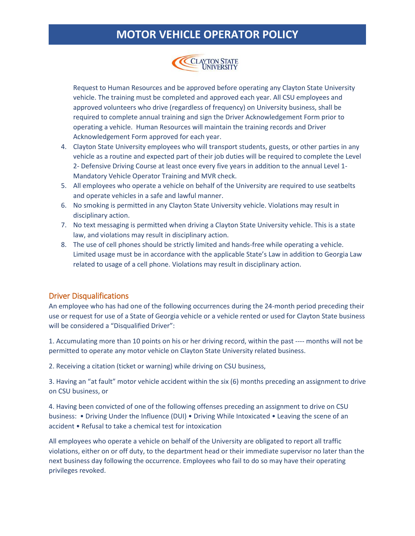

Request to Human Resources and be approved before operating any Clayton State University vehicle. The training must be completed and approved each year. All CSU employees and approved volunteers who drive (regardless of frequency) on University business, shall be required to complete annual training and sign the Driver Acknowledgement Form prior to operating a vehicle. Human Resources will maintain the training records and Driver Acknowledgement Form approved for each year.

- 4. Clayton State University employees who will transport students, guests, or other parties in any vehicle as a routine and expected part of their job duties will be required to complete the Level 2- Defensive Driving Course at least once every five years in addition to the annual Level 1- Mandatory Vehicle Operator Training and MVR check.
- 5. All employees who operate a vehicle on behalf of the University are required to use seatbelts and operate vehicles in a safe and lawful manner.
- 6. No smoking is permitted in any Clayton State University vehicle. Violations may result in disciplinary action.
- 7. No text messaging is permitted when driving a Clayton State University vehicle. This is a state law, and violations may result in disciplinary action.
- 8. The use of cell phones should be strictly limited and hands-free while operating a vehicle. Limited usage must be in accordance with the applicable State's Law in addition to Georgia Law related to usage of a cell phone. Violations may result in disciplinary action.

### Driver Disqualifications

An employee who has had one of the following occurrences during the 24-month period preceding their use or request for use of a State of Georgia vehicle or a vehicle rented or used for Clayton State business will be considered a "Disqualified Driver":

1. Accumulating more than 10 points on his or her driving record, within the past ---- months will not be permitted to operate any motor vehicle on Clayton State University related business.

2. Receiving a citation (ticket or warning) while driving on CSU business,

3. Having an "at fault" motor vehicle accident within the six (6) months preceding an assignment to drive on CSU business, or

4. Having been convicted of one of the following offenses preceding an assignment to drive on CSU business: • Driving Under the Influence (DUI) • Driving While Intoxicated • Leaving the scene of an accident • Refusal to take a chemical test for intoxication

All employees who operate a vehicle on behalf of the University are obligated to report all traffic violations, either on or off duty, to the department head or their immediate supervisor no later than the next business day following the occurrence. Employees who fail to do so may have their operating privileges revoked.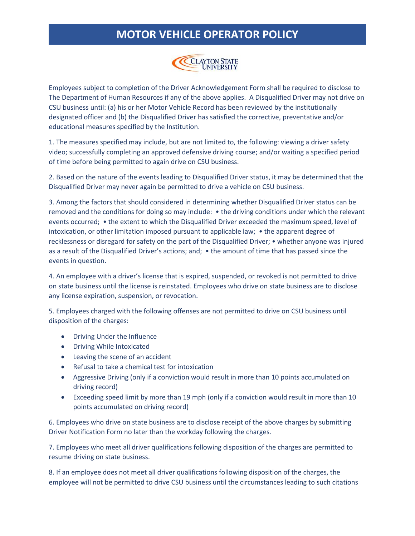

Employees subject to completion of the Driver Acknowledgement Form shall be required to disclose to The Department of Human Resources if any of the above applies. A Disqualified Driver may not drive on CSU business until: (a) his or her Motor Vehicle Record has been reviewed by the institutionally designated officer and (b) the Disqualified Driver has satisfied the corrective, preventative and/or educational measures specified by the Institution.

1. The measures specified may include, but are not limited to, the following: viewing a driver safety video; successfully completing an approved defensive driving course; and/or waiting a specified period of time before being permitted to again drive on CSU business.

2. Based on the nature of the events leading to Disqualified Driver status, it may be determined that the Disqualified Driver may never again be permitted to drive a vehicle on CSU business.

3. Among the factors that should considered in determining whether Disqualified Driver status can be removed and the conditions for doing so may include: • the driving conditions under which the relevant events occurred; • the extent to which the Disqualified Driver exceeded the maximum speed, level of intoxication, or other limitation imposed pursuant to applicable law; • the apparent degree of recklessness or disregard for safety on the part of the Disqualified Driver; • whether anyone was injured as a result of the Disqualified Driver's actions; and; • the amount of time that has passed since the events in question.

4. An employee with a driver's license that is expired, suspended, or revoked is not permitted to drive on state business until the license is reinstated. Employees who drive on state business are to disclose any license expiration, suspension, or revocation.

5. Employees charged with the following offenses are not permitted to drive on CSU business until disposition of the charges:

- Driving Under the Influence
- Driving While Intoxicated
- Leaving the scene of an accident
- Refusal to take a chemical test for intoxication
- Aggressive Driving (only if a conviction would result in more than 10 points accumulated on driving record)
- Exceeding speed limit by more than 19 mph (only if a conviction would result in more than 10 points accumulated on driving record)

6. Employees who drive on state business are to disclose receipt of the above charges by submitting Driver Notification Form no later than the workday following the charges.

7. Employees who meet all driver qualifications following disposition of the charges are permitted to resume driving on state business.

8. If an employee does not meet all driver qualifications following disposition of the charges, the employee will not be permitted to drive CSU business until the circumstances leading to such citations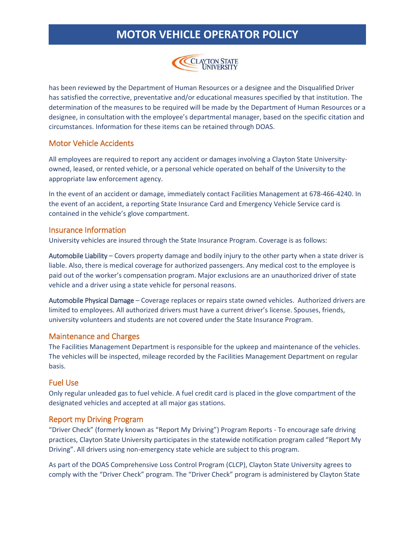

has been reviewed by the Department of Human Resources or a designee and the Disqualified Driver has satisfied the corrective, preventative and/or educational measures specified by that institution. The determination of the measures to be required will be made by the Department of Human Resources or a designee, in consultation with the employee's departmental manager, based on the specific citation and circumstances. Information for these items can be retained through DOAS.

### Motor Vehicle Accidents

All employees are required to report any accident or damages involving a Clayton State Universityowned, leased, or rented vehicle, or a personal vehicle operated on behalf of the University to the appropriate law enforcement agency.

In the event of an accident or damage, immediately contact Facilities Management at 678-466-4240. In the event of an accident, a reporting State Insurance Card and Emergency Vehicle Service card is contained in the vehicle's glove compartment.

### Insurance Information

University vehicles are insured through the State Insurance Program. Coverage is as follows:

Automobile Liability – Covers property damage and bodily injury to the other party when a state driver is liable. Also, there is medical coverage for authorized passengers. Any medical cost to the employee is paid out of the worker's compensation program. Major exclusions are an unauthorized driver of state vehicle and a driver using a state vehicle for personal reasons.

Automobile Physical Damage – Coverage replaces or repairs state owned vehicles. Authorized drivers are limited to employees. All authorized drivers must have a current driver's license. Spouses, friends, university volunteers and students are not covered under the State Insurance Program.

#### Maintenance and Charges

The Facilities Management Department is responsible for the upkeep and maintenance of the vehicles. The vehicles will be inspected, mileage recorded by the Facilities Management Department on regular basis.

### Fuel Use

Only regular unleaded gas to fuel vehicle. A fuel credit card is placed in the glove compartment of the designated vehicles and accepted at all major gas stations.

### Report my Driving Program

"Driver Check" (formerly known as "Report My Driving") Program Reports - To encourage safe driving practices, Clayton State University participates in the statewide notification program called "Report My Driving". All drivers using non-emergency state vehicle are subject to this program.

As part of the DOAS Comprehensive Loss Control Program (CLCP), Clayton State University agrees to comply with the "Driver Check" program. The "Driver Check" program is administered by Clayton State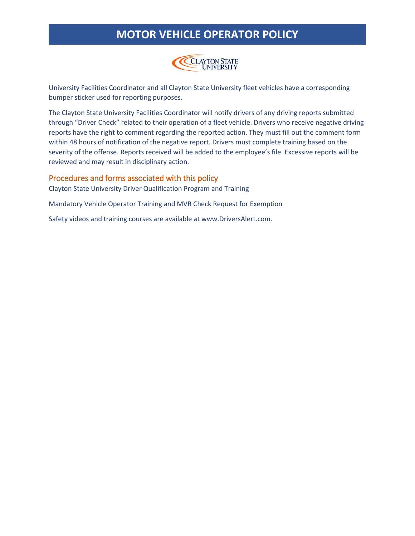

University Facilities Coordinator and all Clayton State University fleet vehicles have a corresponding bumper sticker used for reporting purposes.

The Clayton State University Facilities Coordinator will notify drivers of any driving reports submitted through "Driver Check" related to their operation of a fleet vehicle. Drivers who receive negative driving reports have the right to comment regarding the reported action. They must fill out the comment form within 48 hours of notification of the negative report. Drivers must complete training based on the severity of the offense. Reports received will be added to the employee's file. Excessive reports will be reviewed and may result in disciplinary action.

#### Procedures and forms associated with this policy

Clayton State University Driver Qualification Program and Training

Mandatory Vehicle Operator Training and MVR Check Request for Exemption

Safety videos and training courses are available at www.DriversAlert.com.